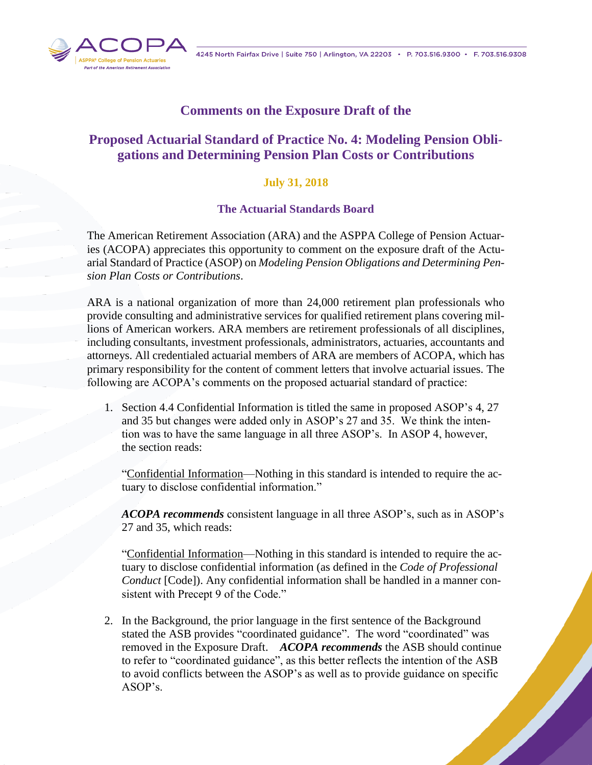

## **Comments on the Exposure Draft of the**

## **Proposed Actuarial Standard of Practice No. 4: Modeling Pension Obligations and Determining Pension Plan Costs or Contributions**

## **July 31, 2018**

## **The Actuarial Standards Board**

The American Retirement Association (ARA) and the ASPPA College of Pension Actuaries (ACOPA) appreciates this opportunity to comment on the exposure draft of the Actuarial Standard of Practice (ASOP) on *Modeling Pension Obligations and Determining Pension Plan Costs or Contributions*.

ARA is a national organization of more than 24,000 retirement plan professionals who provide consulting and administrative services for qualified retirement plans covering millions of American workers. ARA members are retirement professionals of all disciplines, including consultants, investment professionals, administrators, actuaries, accountants and attorneys. All credentialed actuarial members of ARA are members of ACOPA, which has primary responsibility for the content of comment letters that involve actuarial issues. The following are ACOPA's comments on the proposed actuarial standard of practice:

1. Section 4.4 Confidential Information is titled the same in proposed ASOP's 4, 27 and 35 but changes were added only in ASOP's 27 and 35. We think the intention was to have the same language in all three ASOP's. In ASOP 4, however, the section reads:

"Confidential Information—Nothing in this standard is intended to require the actuary to disclose confidential information."

*ACOPA recommends* consistent language in all three ASOP's, such as in ASOP's 27 and 35, which reads:

"Confidential Information—Nothing in this standard is intended to require the actuary to disclose confidential information (as defined in the *Code of Professional Conduct* [Code]). Any confidential information shall be handled in a manner consistent with Precept 9 of the Code."

2. In the Background, the prior language in the first sentence of the Background stated the ASB provides "coordinated guidance". The word "coordinated" was removed in the Exposure Draft. *ACOPA recommends* the ASB should continue to refer to "coordinated guidance", as this better reflects the intention of the ASB to avoid conflicts between the ASOP's as well as to provide guidance on specific ASOP's.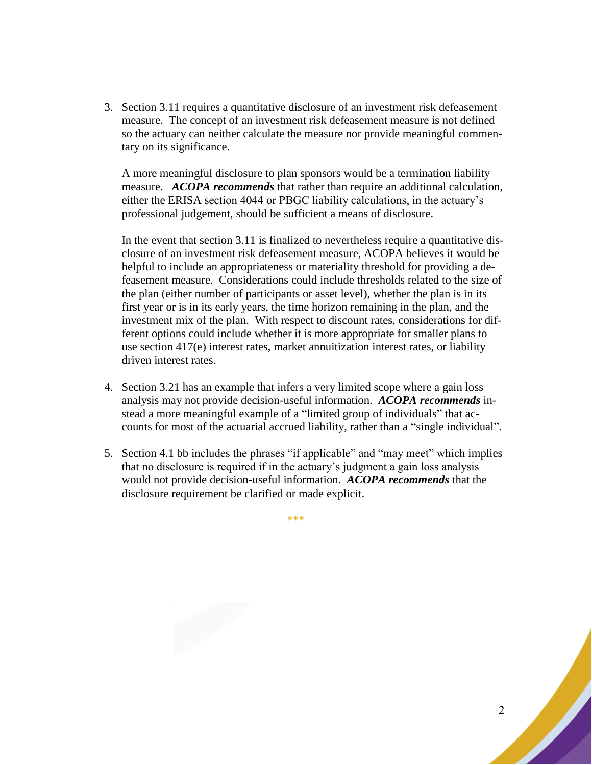3. Section 3.11 requires a quantitative disclosure of an investment risk defeasement measure. The concept of an investment risk defeasement measure is not defined so the actuary can neither calculate the measure nor provide meaningful commentary on its significance.

A more meaningful disclosure to plan sponsors would be a termination liability measure. *ACOPA recommends* that rather than require an additional calculation, either the ERISA section 4044 or PBGC liability calculations, in the actuary's professional judgement, should be sufficient a means of disclosure.

In the event that section 3.11 is finalized to nevertheless require a quantitative disclosure of an investment risk defeasement measure, ACOPA believes it would be helpful to include an appropriateness or materiality threshold for providing a defeasement measure. Considerations could include thresholds related to the size of the plan (either number of participants or asset level), whether the plan is in its first year or is in its early years, the time horizon remaining in the plan, and the investment mix of the plan. With respect to discount rates, considerations for different options could include whether it is more appropriate for smaller plans to use section 417(e) interest rates, market annuitization interest rates, or liability driven interest rates.

- 4. Section 3.21 has an example that infers a very limited scope where a gain loss analysis may not provide decision-useful information. *ACOPA recommends* instead a more meaningful example of a "limited group of individuals" that accounts for most of the actuarial accrued liability, rather than a "single individual".
- 5. Section 4.1 bb includes the phrases "if applicable" and "may meet" which implies that no disclosure is required if in the actuary's judgment a gain loss analysis would not provide decision-useful information. *ACOPA recommends* that the disclosure requirement be clarified or made explicit.

\*\*\*